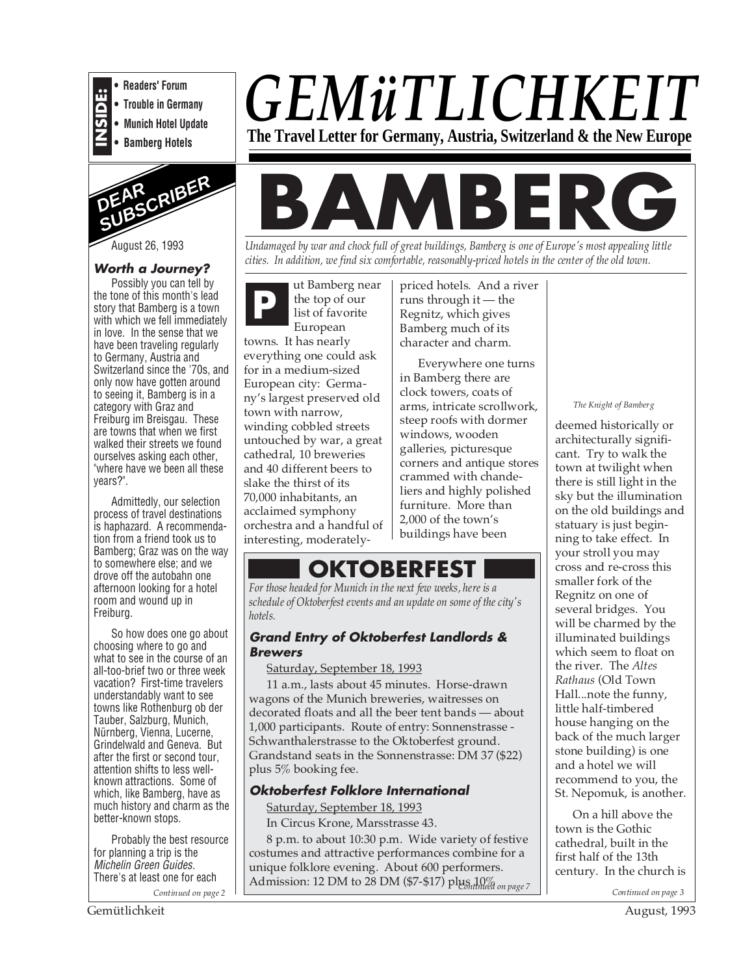

**• Readers' Forum**

- **Trouble in Germany**
- **Munich Hotel Update**





August 26, 1993

# **Worth a Journey?**

Possibly you can tell by the tone of this month's lead story that Bamberg is a town with which we fell immediately in love. In the sense that we have been traveling regularly to Germany, Austria and Switzerland since the '70s, and only now have gotten around to seeing it, Bamberg is in a category with Graz and Freiburg im Breisgau. These are towns that when we first walked their streets we found ourselves asking each other, "where have we been all these years?".

Admittedly, our selection process of travel destinations is haphazard. A recommendation from a friend took us to Bamberg; Graz was on the way to somewhere else; and we drove off the autobahn one afternoon looking for a hotel room and wound up in Freiburg.

So how does one go about choosing where to go and what to see in the course of an all-too-brief two or three week vacation? First-time travelers understandably want to see towns like Rothenburg ob der Tauber, Salzburg, Munich, Nürnberg, Vienna, Lucerne, Grindelwald and Geneva. But after the first or second tour, attention shifts to less wellknown attractions. Some of which, like Bamberg, have as much history and charm as the better-known stops.

Probably the best resource for planning a trip is the Michelin Green Guides. There's at least one for each

*GEMüTLICHKEIT* **The Travel Letter for Germany, Austria, Switzerland & the New Europe**

# **MBERG**

*Undamaged by war and chock full of great buildings, Bamberg is one of Europe's most appealing little cities. In addition, we find six comfortable, reasonably-priced hotels in the center of the old town.*

ut Bamberg near the top of our list of favorite European towns. It has nearly everything one could ask for in a medium-sized European city: Germany's largest preserved old town with narrow, winding cobbled streets untouched by war, a great cathedral, 10 breweries and 40 different beers to slake the thirst of its 70,000 inhabitants, an acclaimed symphony orchestra and a handful of interesting, moderately-

**P** priced hotels. And a river<br>
the top of our<br>
list of favorite<br>
Express the priced hotels. And a river<br>
runs through it — the<br>
Regnitz, which gives runs through it — the Regnitz, which gives Bamberg much of its character and charm.

> Everywhere one turns in Bamberg there are clock towers, coats of arms, intricate scrollwork, steep roofs with dormer windows, wooden galleries, picturesque corners and antique stores crammed with chandeliers and highly polished furniture. More than 2,000 of the town's buildings have been

# **OKTOBERFEST**

*For those headed for Munich in the next few weeks, here is a schedule of Oktoberfest events and an update on some of the city's hotels.*

# **Grand Entry of Oktoberfest Landlords & Brewers**

## Saturday, September 18, 1993

11 a.m., lasts about 45 minutes. Horse-drawn wagons of the Munich breweries, waitresses on decorated floats and all the beer tent bands — about 1,000 participants. Route of entry: Sonnenstrasse - Schwanthalerstrasse to the Oktoberfest ground. Grandstand seats in the Sonnenstrasse: DM 37 (\$22) plus 5% booking fee.

# **Oktoberfest Folklore International**

Saturday, September 18, 1993

In Circus Krone, Marsstrasse 43.

Admission: 12 DM to 28 DM (\$7-\$17) plus 10% <sub>on page</sub> 7 8 p.m. to about 10:30 p.m. Wide variety of festive costumes and attractive performances combine for a unique folklore evening. About 600 performers.

#### *The Knight of Bamberg*

deemed historically or architecturally significant. Try to walk the town at twilight when there is still light in the sky but the illumination on the old buildings and statuary is just beginning to take effect. In your stroll you may cross and re-cross this smaller fork of the Regnitz on one of several bridges. You will be charmed by the illuminated buildings which seem to float on the river. The *Altes Rathaus* (Old Town Hall...note the funny, little half-timbered house hanging on the back of the much larger stone building) is one and a hotel we will recommend to you, the St. Nepomuk, is another.

On a hill above the town is the Gothic cathedral, built in the first half of the 13th century. In the church is

*Continued on page 2* **Continued on page 3 Continued on page 3 Continued on page 3 Continued on page 3**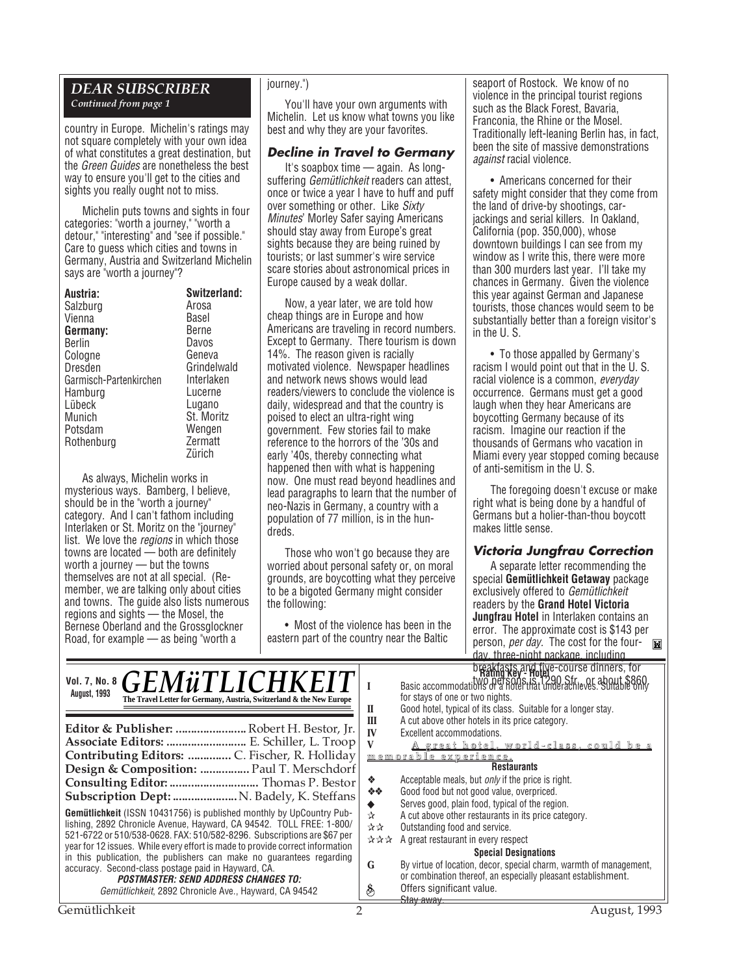# *DEAR SUBSCRIBER*

*Continued from page 1*

country in Europe. Michelin's ratings may not square completely with your own idea of what constitutes a great destination, but the Green Guides are nonetheless the best way to ensure you'll get to the cities and sights you really ought not to miss.

Michelin puts towns and sights in four categories: "worth a journey," "worth a detour," "interesting" and "see if possible." Care to guess which cities and towns in Germany, Austria and Switzerland Michelin says are "worth a journey"?

| Austria:               | Switzerland: |
|------------------------|--------------|
| Salzburg               | Arosa        |
| Vienna                 | Basel        |
| Germany:               | <b>Berne</b> |
| Berlin                 | Davos        |
| Cologne                | Geneva       |
| Dresden                | Grindelwald  |
| Garmisch-Partenkirchen | Interlaken   |
| Hamburg                | Lucerne      |
| Lübeck                 | Lugano       |
| Munich                 | St. Moritz   |
| Potsdam                | Wengen       |
| Rothenburg             | Zermatt      |
|                        | Zürich       |
|                        |              |

As always, Michelin works in mysterious ways. Bamberg, I believe, should be in the "worth a journey" category. And I can't fathom including Interlaken or St. Moritz on the "journey" list. We love the regions in which those towns are located — both are definitely worth a journey — but the towns themselves are not at all special. (Remember, we are talking only about cities and towns. The guide also lists numerous regions and sights — the Mosel, the Bernese Oberland and the Grossglockner Road, for example — as being "worth a

#### journey.")

You'll have your own arguments with Michelin. Let us know what towns you like best and why they are your favorites.

# **Decline in Travel to Germany**

It's soapbox time — again. As longsuffering Gemütlichkeit readers can attest, once or twice a year I have to huff and puff over something or other. Like Sixty Minutes' Morley Safer saying Americans should stay away from Europe's great sights because they are being ruined by tourists; or last summer's wire service scare stories about astronomical prices in Europe caused by a weak dollar.

Now, a year later, we are told how cheap things are in Europe and how Americans are traveling in record numbers. Except to Germany. There tourism is down 14%. The reason given is racially motivated violence. Newspaper headlines and network news shows would lead readers/viewers to conclude the violence is daily, widespread and that the country is poised to elect an ultra-right wing government. Few stories fail to make reference to the horrors of the '30s and early '40s, thereby connecting what happened then with what is happening now. One must read beyond headlines and lead paragraphs to learn that the number of neo-Nazis in Germany, a country with a population of 77 million, is in the hundreds.

Those who won't go because they are worried about personal safety or, on moral grounds, are boycotting what they perceive to be a bigoted Germany might consider the following:

• Most of the violence has been in the eastern part of the country near the Baltic

seaport of Rostock. We know of no violence in the principal tourist regions such as the Black Forest, Bavaria, Franconia, the Rhine or the Mosel. Traditionally left-leaning Berlin has, in fact, been the site of massive demonstrations against racial violence.

• Americans concerned for their safety might consider that they come from the land of drive-by shootings, carjackings and serial killers. In Oakland, California (pop. 350,000), whose downtown buildings I can see from my window as I write this, there were more than 300 murders last year. I'll take my chances in Germany. Given the violence this year against German and Japanese tourists, those chances would seem to be substantially better than a foreign visitor's in the U. S.

• To those appalled by Germany's racism I would point out that in the U. S. racial violence is a common, everyday occurrence. Germans must get a good laugh when they hear Americans are boycotting Germany because of its racism. Imagine our reaction if the thousands of Germans who vacation in Miami every year stopped coming because of anti-semitism in the U. S.

The foregoing doesn't excuse or make right what is being done by a handful of Germans but a holier-than-thou boycott makes little sense.

#### **Victoria Jungfrau Correction**

A separate letter recommending the special **Gemütlichkeit Getaway** package exclusively offered to Gemütlichkeit readers by the **Grand Hotel Victoria Jungfrau Hotel** in Interlaken contains an error. The approximate cost is \$143 per person, *per day*. The cost for the fourday, three-night package, including

| Vol. 7, No. 8 $GEM\ddot{u}TLICHKEIT$<br><b>August, 1993</b><br>The Travel Letter for Germany, Austria, Switzerland & the New Europe                                                                                                                                                                                                                                                                                                                                                                                                                                                                                                                                                                                                                                                            | breakfasts and tive-course dinners, for<br>Rating Key- Hotel 290 Str.<br>Basic accommodations of a Botel Hat Linderachieves. Suitable only<br>for stays of one or two nights.<br>Good hotel, typical of its class. Suitable for a longer stay.<br>п                                                                                                                                                                                                                                                                                                                                                                                                                                                                                                                         |
|------------------------------------------------------------------------------------------------------------------------------------------------------------------------------------------------------------------------------------------------------------------------------------------------------------------------------------------------------------------------------------------------------------------------------------------------------------------------------------------------------------------------------------------------------------------------------------------------------------------------------------------------------------------------------------------------------------------------------------------------------------------------------------------------|-----------------------------------------------------------------------------------------------------------------------------------------------------------------------------------------------------------------------------------------------------------------------------------------------------------------------------------------------------------------------------------------------------------------------------------------------------------------------------------------------------------------------------------------------------------------------------------------------------------------------------------------------------------------------------------------------------------------------------------------------------------------------------|
| Editor & Publisher:  Robert H. Bestor, Jr.<br>Associate Editors:  E. Schiller, L. Troop<br>Contributing Editors:  C. Fischer, R. Holliday<br>Design & Composition:  Paul T. Merschdorf<br>Subscription Dept:  N. Badely, K. Steffans<br><b>Gemütlichkeit</b> (ISSN 10431756) is published monthly by UpCountry Pub-<br>lishing, 2892 Chronicle Avenue, Hayward, CA 94542. TOLL FREE: 1-800/<br>521-6722 or 510/538-0628. FAX: 510/582-8296. Subscriptions are \$67 per<br>year for 12 issues. While every effort is made to provide correct information<br>in this publication, the publishers can make no quarantees regarding<br>accuracy. Second-class postage paid in Hayward, CA.<br><b>POSTMASTER: SEND ADDRESS CHANGES TO:</b><br>Gemütlichkeit, 2892 Chronicle Ave., Hayward, CA 94542 | A cut above other hotels in its price category.<br>Ш<br><b>IV</b><br>Excellent accommodations.<br><u>A great hotel, world-class, could be a</u><br><u>memorable experience.</u><br><b>Restaurants</b><br>Acceptable meals, but <i>only</i> if the price is right.<br>❖<br>Good food but not good value, overpriced.<br><b>交易</b><br>Serves good, plain food, typical of the region.<br>A cut above other restaurants in its price category.<br>☆<br>Outstanding food and service.<br>☆☆<br>A great restaurant in every respect<br>자자자<br><b>Special Designations</b><br>By virtue of location, decor, special charm, warmth of management,<br>G<br>or combination thereof, an especially pleasant establishment.<br>Offers significant value.<br>E<br><del>Stav awav.</del> |
| Gemütlichkeit                                                                                                                                                                                                                                                                                                                                                                                                                                                                                                                                                                                                                                                                                                                                                                                  | August, 1993                                                                                                                                                                                                                                                                                                                                                                                                                                                                                                                                                                                                                                                                                                                                                                |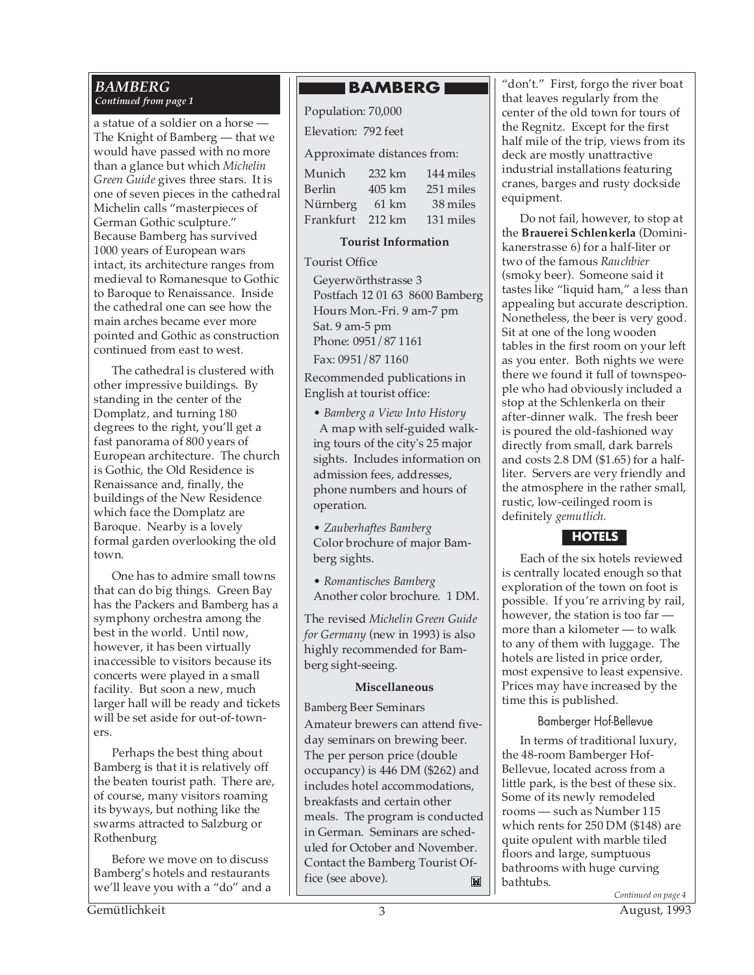# *BAMBERG Continued from page 1*

a statue of a soldier on a horse — The Knight of Bamberg — that we would have passed with no more than a glance but which *Michelin Green Guide* gives three stars. It is one of seven pieces in the cathedral Michelin calls "masterpieces of German Gothic sculpture." Because Bamberg has survived 1000 years of European wars intact, its architecture ranges from medieval to Romanesque to Gothic to Baroque to Renaissance. Inside the cathedral one can see how the main arches became ever more pointed and Gothic as construction continued from east to west.

The cathedral is clustered with other impressive buildings. By standing in the center of the Domplatz, and turning 180 degrees to the right, you'll get a fast panorama of 800 years of European architecture. The church is Gothic, the Old Residence is Renaissance and, finally, the buildings of the New Residence which face the Domplatz are Baroque. Nearby is a lovely formal garden overlooking the old town.

One has to admire small towns that can do big things. Green Bay has the Packers and Bamberg has a symphony orchestra among the best in the world. Until now, however, it has been virtually inaccessible to visitors because its concerts were played in a small facility. But soon a new, much larger hall will be ready and tickets will be set aside for out-of-towners.

Perhaps the best thing about Bamberg is that it is relatively off the beaten tourist path. There are, of course, many visitors roaming its byways, but nothing like the swarms attracted to Salzburg or Rothenburg

Before we move on to discuss Bamberg's hotels and restaurants we'll leave you with a "do" and a

# **BAMBERG**

Population: 70,000

Elevation: 792 feet

Approximate distances from:

| Munich    | 232 km | 144 miles |
|-----------|--------|-----------|
| Berlin    | 405 km | 251 miles |
| Nürnberg  | 61 km  | 38 miles  |
| Frankfurt | 212 km | 131 miles |

# **Tourist Information**

Tourist Office

Geyerwörthstrasse 3 Postfach 12 01 63 8600 Bamberg Hours Mon.-Fri. 9 am-7 pm Sat. 9 am-5 pm Phone: 0951/87 1161 Fax: 0951/87 1160

Recommended publications in English at tourist office:

• *Bamberg a View Into History* A map with self-guided walking tours of the city's 25 major sights. Includes information on admission fees, addresses, phone numbers and hours of operation.

• *Zauberhaftes Bamberg* Color brochure of major Bamberg sights.

• *Romantisches Bamberg* Another color brochure. 1 DM.

The revised *Michelin Green Guide for Germany* (new in 1993) is also highly recommended for Bamberg sight-seeing.

# **Miscellaneous**

Bamberg Beer Seminars

Amateur brewers can attend fiveday seminars on brewing beer. The per person price (double occupancy) is 446 DM (\$262) and includes hotel accommodations, breakfasts and certain other meals. The program is conducted in German. Seminars are scheduled for October and November. Contact the Bamberg Tourist Office (see above).  $\mathbf{M}$ 

"don't." First, forgo the river boat that leaves regularly from the center of the old town for tours of the Regnitz. Except for the first half mile of the trip, views from its deck are mostly unattractive industrial installations featuring cranes, barges and rusty dockside equipment.

Do not fail, however, to stop at the **Brauerei Schlenkerla** (Dominikanerstrasse 6) for a half-liter or two of the famous *Rauchbier* (smoky beer). Someone said it tastes like "liquid ham," a less than appealing but accurate description. Nonetheless, the beer is very good. Sit at one of the long wooden tables in the first room on your left as you enter. Both nights we were there we found it full of townspeople who had obviously included a stop at the Schlenkerla on their after-dinner walk. The fresh beer is poured the old-fashioned way directly from small, dark barrels and costs 2.8 DM (\$1.65) for a halfliter. Servers are very friendly and the atmosphere in the rather small, rustic, low-ceilinged room is definitely *gemutlich*.

# **HOTELS**

Each of the six hotels reviewed is centrally located enough so that exploration of the town on foot is possible. If you're arriving by rail, however, the station is too far more than a kilometer — to walk to any of them with luggage. The hotels are listed in price order, most expensive to least expensive. Prices may have increased by the time this is published.

# Bamberger Hof-Bellevue

*Continued on page 4* In terms of traditional luxury, the 48-room Bamberger Hof-Bellevue, located across from a little park, is the best of these six. Some of its newly remodeled rooms — such as Number 115 which rents for 250 DM (\$148) are quite opulent with marble tiled floors and large, sumptuous bathrooms with huge curving bathtubs.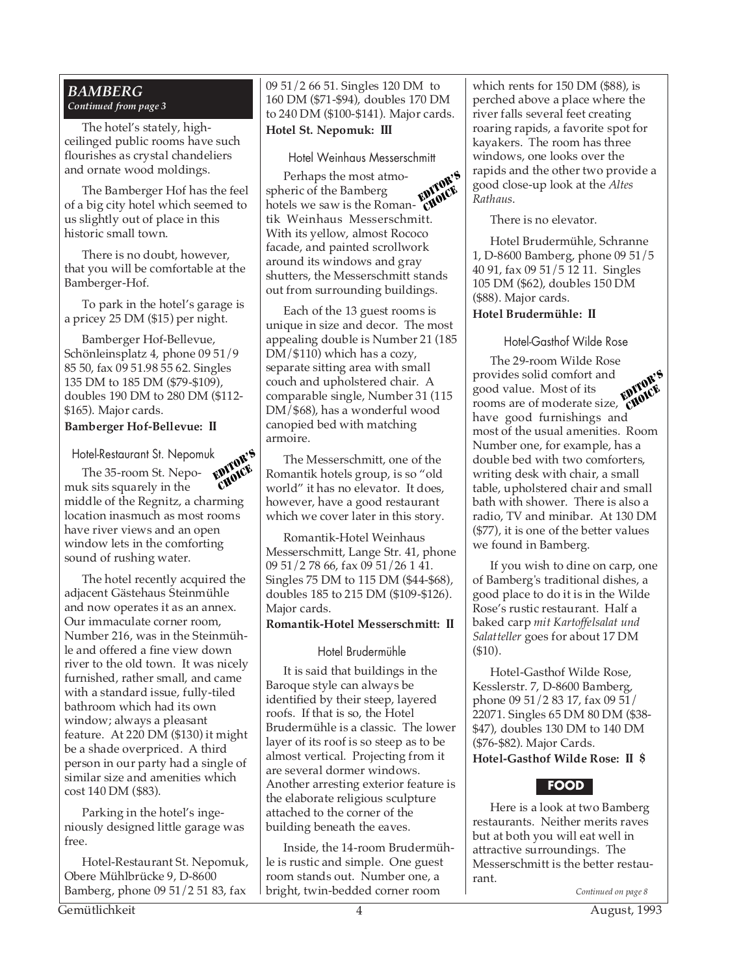#### *BAMBERG Continued from page 3*

The hotel's stately, highceilinged public rooms have such flourishes as crystal chandeliers and ornate wood moldings.

The Bamberger Hof has the feel of a big city hotel which seemed to us slightly out of place in this historic small town.

There is no doubt, however, that you will be comfortable at the Bamberger-Hof.

To park in the hotel's garage is a pricey 25 DM (\$15) per night.

Bamberger Hof-Bellevue, Schönleinsplatz 4, phone 09 51/9 85 50, fax 09 51.98 55 62. Singles 135 DM to 185 DM (\$79-\$109), doubles 190 DM to 280 DM (\$112- \$165). Major cards.

#### **Bamberger Hof-Bellevue: II**

Hotel-Restaurant St. Nepomuk

The 35-room St. Nepomuk sits squarely in the middle of the Regnitz, a charming location inasmuch as most rooms have river views and an open window lets in the comforting sound of rushing water. EDITOR'S CHOICE

The hotel recently acquired the adjacent Gästehaus Steinmühle and now operates it as an annex. Our immaculate corner room, Number 216, was in the Steinmühle and offered a fine view down river to the old town. It was nicely furnished, rather small, and came with a standard issue, fully-tiled bathroom which had its own window; always a pleasant feature. At 220 DM (\$130) it might be a shade overpriced. A third person in our party had a single of similar size and amenities which cost 140 DM (\$83).

Parking in the hotel's ingeniously designed little garage was free.

Hotel-Restaurant St. Nepomuk, Obere Mühlbrücke 9, D-8600 Bamberg, phone 09 51/2 51 83, fax

09 51/2 66 51. Singles 120 DM to 160 DM (\$71-\$94), doubles 170 DM to 240 DM (\$100-\$141). Major cards. **Hotel St. Nepomuk: III**

Hotel Weinhaus Messerschmitt

Perhaps the most atmospheric of the Bamberg spheric of the Bamberg<br>hotels we saw is the Roman- CWWC tik Weinhaus Messerschmitt. With its yellow, almost Rococo facade, and painted scrollwork around its windows and gray shutters, the Messerschmitt stands out from surrounding buildings. EDITOR'S

Each of the 13 guest rooms is unique in size and decor. The most appealing double is Number 21 (185 DM/\$110) which has a cozy, separate sitting area with small couch and upholstered chair. A comparable single, Number 31 (115 DM/\$68), has a wonderful wood canopied bed with matching armoire.

The Messerschmitt, one of the Romantik hotels group, is so "old world" it has no elevator. It does, however, have a good restaurant which we cover later in this story.

Romantik-Hotel Weinhaus Messerschmitt, Lange Str. 41, phone 09 51/2 78 66, fax 09 51/26 1 41. Singles 75 DM to 115 DM (\$44-\$68), doubles 185 to 215 DM (\$109-\$126). Major cards.

#### **Romantik-Hotel Messerschmitt: II**

#### Hotel Brudermühle

It is said that buildings in the Baroque style can always be identified by their steep, layered roofs. If that is so, the Hotel Brudermühle is a classic. The lower layer of its roof is so steep as to be almost vertical. Projecting from it are several dormer windows. Another arresting exterior feature is the elaborate religious sculpture attached to the corner of the building beneath the eaves.

Inside, the 14-room Brudermühle is rustic and simple. One guest room stands out. Number one, a bright, twin-bedded corner room

which rents for 150 DM (\$88), is perched above a place where the river falls several feet creating roaring rapids, a favorite spot for kayakers. The room has three windows, one looks over the rapids and the other two provide a good close-up look at the *Altes Rathaus*.

There is no elevator.

Hotel Brudermühle, Schranne 1, D-8600 Bamberg, phone 09 51/5 40 91, fax 09 51/5 12 11. Singles 105 DM (\$62), doubles 150 DM (\$88). Major cards.

## **Hotel Brudermühle: II**

## Hotel-Gasthof Wilde Rose

The 29-room Wilde Rose provides solid comfort and good value. Most of its rooms are of moderate size, have good furnishings and most of the usual amenities. Room Number one, for example, has a double bed with two comforters, writing desk with chair, a small table, upholstered chair and small bath with shower. There is also a radio, TV and minibar. At 130 DM (\$77), it is one of the better values we found in Bamberg. EDITOR'S CHOICE

If you wish to dine on carp, one of Bamberg's traditional dishes, a good place to do it is in the Wilde Rose's rustic restaurant. Half a baked carp *mit Kartoffelsalat und Salatteller* goes for about 17 DM (\$10).

Hotel-Gasthof Wilde Rose, Kesslerstr. 7, D-8600 Bamberg, phone 09 51/2 83 17, fax 09 51/ 22071. Singles 65 DM 80 DM (\$38- \$47), doubles 130 DM to 140 DM (\$76-\$82). Major Cards. **Hotel-Gasthof Wilde Rose: II \$**

# **FOOD**

Here is a look at two Bamberg restaurants. Neither merits raves but at both you will eat well in attractive surroundings. The Messerschmitt is the better restaurant.

*Continued on page 8*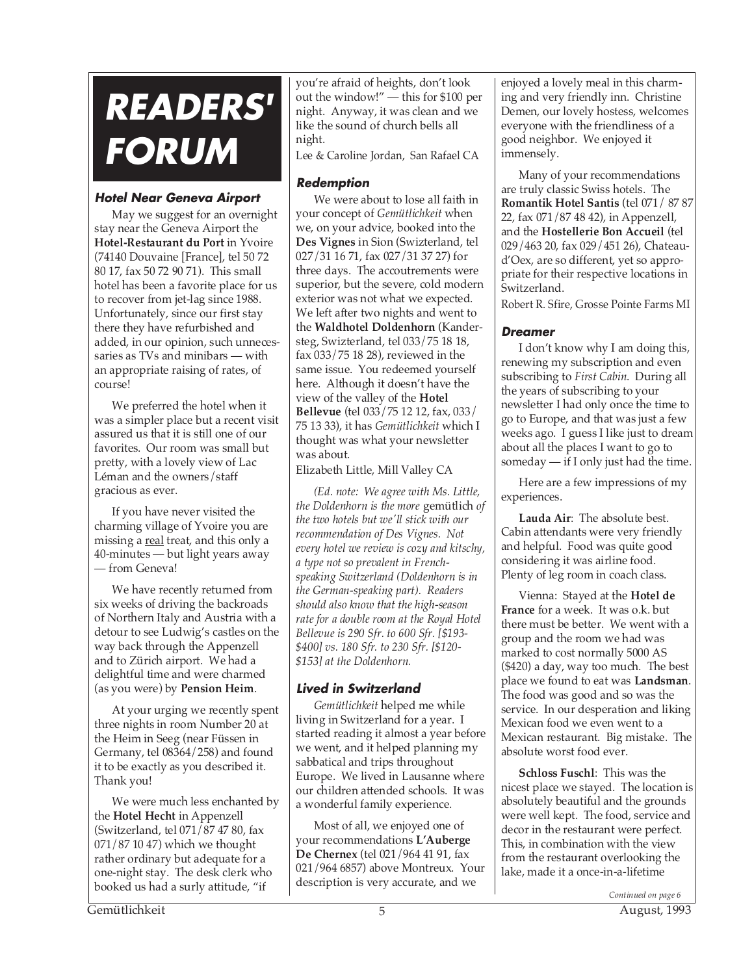# **READERS' FORUM**

# **Hotel Near Geneva Airport**

May we suggest for an overnight stay near the Geneva Airport the **Hotel-Restaurant du Port** in Yvoire (74140 Douvaine [France], tel 50 72 80 17, fax 50 72 90 71). This small hotel has been a favorite place for us to recover from jet-lag since 1988. Unfortunately, since our first stay there they have refurbished and added, in our opinion, such unnecessaries as TVs and minibars — with an appropriate raising of rates, of course!

We preferred the hotel when it was a simpler place but a recent visit assured us that it is still one of our favorites. Our room was small but pretty, with a lovely view of Lac Léman and the owners/staff gracious as ever.

If you have never visited the charming village of Yvoire you are missing a real treat, and this only a 40-minutes — but light years away — from Geneva!

We have recently returned from six weeks of driving the backroads of Northern Italy and Austria with a detour to see Ludwig's castles on the way back through the Appenzell and to Zürich airport. We had a delightful time and were charmed (as you were) by **Pension Heim**.

At your urging we recently spent three nights in room Number 20 at the Heim in Seeg (near Füssen in Germany, tel 08364/258) and found it to be exactly as you described it. Thank you!

We were much less enchanted by the **Hotel Hecht** in Appenzell (Switzerland, tel 071/87 47 80, fax 071/87 10 47) which we thought rather ordinary but adequate for a one-night stay. The desk clerk who booked us had a surly attitude, "if

you're afraid of heights, don't look out the window!" — this for \$100 per night. Anyway, it was clean and we like the sound of church bells all night.

Lee & Caroline Jordan, San Rafael CA

# **Redemption**

We were about to lose all faith in your concept of *Gemütlichkeit* when we, on your advice, booked into the **Des Vignes** in Sion (Swizterland, tel 027/31 16 71, fax 027/31 37 27) for three days. The accoutrements were superior, but the severe, cold modern exterior was not what we expected. We left after two nights and went to the **Waldhotel Doldenhorn** (Kandersteg, Swizterland, tel 033/75 18 18, fax 033/75 18 28), reviewed in the same issue. You redeemed yourself here. Although it doesn't have the view of the valley of the **Hotel Bellevue** (tel 033/75 12 12, fax, 033/ 75 13 33), it has *Gemütlichkeit* which I thought was what your newsletter was about.

Elizabeth Little, Mill Valley CA

*(Ed. note: We agree with Ms. Little, the Doldenhorn is the more* gemütlich *of the two hotels but we'll stick with our recommendation of Des Vignes. Not every hotel we review is cozy and kitschy, a type not so prevalent in Frenchspeaking Switzerland (Doldenhorn is in the German-speaking part). Readers should also know that the high-season rate for a double room at the Royal Hotel Bellevue is 290 Sfr. to 600 Sfr. [\$193- \$400] vs. 180 Sfr. to 230 Sfr. [\$120- \$153] at the Doldenhorn.*

# **Lived in Switzerland**

*Gemütlichkeit* helped me while living in Switzerland for a year. I started reading it almost a year before we went, and it helped planning my sabbatical and trips throughout Europe. We lived in Lausanne where our children attended schools. It was a wonderful family experience.

Most of all, we enjoyed one of your recommendations **L'Auberge De Chernex** (tel 021/964 41 91, fax 021/964 6857) above Montreux. Your description is very accurate, and we

enjoyed a lovely meal in this charming and very friendly inn. Christine Demen, our lovely hostess, welcomes everyone with the friendliness of a good neighbor. We enjoyed it immensely.

Many of your recommendations are truly classic Swiss hotels. The **Romantik Hotel Santis** (tel 071/ 87 87 22, fax 071/87 48 42), in Appenzell, and the **Hostellerie Bon Accueil** (tel 029/463 20, fax 029/451 26), Chateaud'Oex, are so different, yet so appropriate for their respective locations in Switzerland.

Robert R. Sfire, Grosse Pointe Farms MI

# **Dreamer**

I don't know why I am doing this, renewing my subscription and even subscribing to *First Cabin*. During all the years of subscribing to your newsletter I had only once the time to go to Europe, and that was just a few weeks ago. I guess I like just to dream about all the places I want to go to someday — if I only just had the time.

Here are a few impressions of my experiences.

**Lauda Air**: The absolute best. Cabin attendants were very friendly and helpful. Food was quite good considering it was airline food. Plenty of leg room in coach class.

Vienna: Stayed at the **Hotel de France** for a week. It was o.k. but there must be better. We went with a group and the room we had was marked to cost normally 5000 AS (\$420) a day, way too much. The best place we found to eat was **Landsman**. The food was good and so was the service. In our desperation and liking Mexican food we even went to a Mexican restaurant. Big mistake. The absolute worst food ever.

**Schloss Fuschl**: This was the nicest place we stayed. The location is absolutely beautiful and the grounds were well kept. The food, service and decor in the restaurant were perfect. This, in combination with the view from the restaurant overlooking the lake, made it a once-in-a-lifetime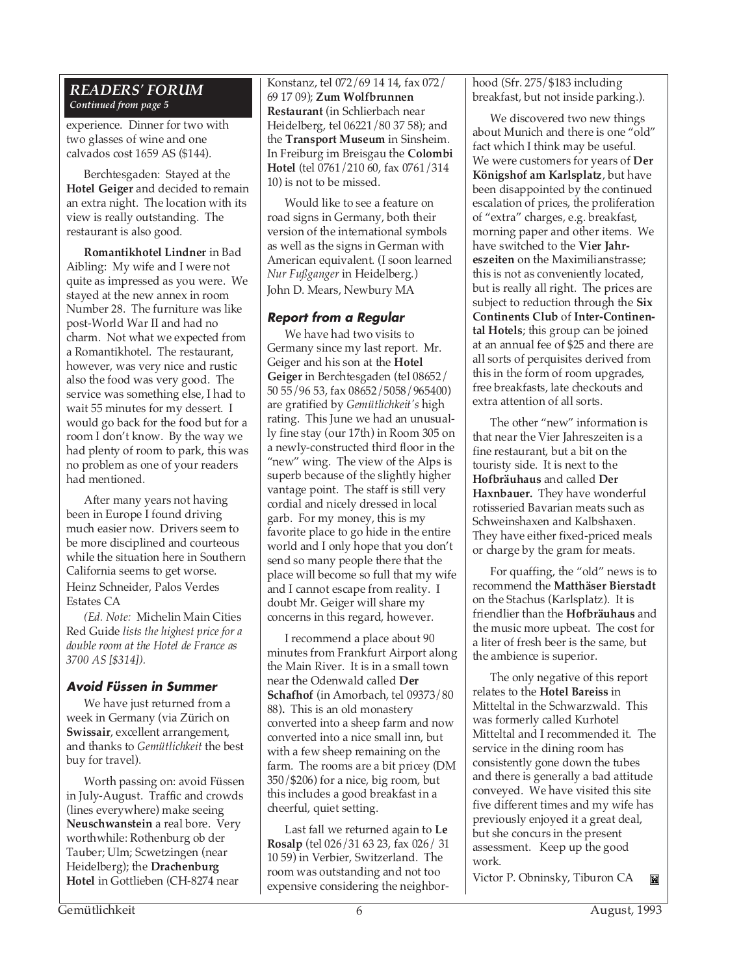#### *READERS' FORUM Continued from page 5*

experience. Dinner for two with two glasses of wine and one calvados cost 1659 AS (\$144).

Berchtesgaden: Stayed at the **Hotel Geiger** and decided to remain an extra night. The location with its view is really outstanding. The restaurant is also good.

**Romantikhotel Lindner** in Bad Aibling: My wife and I were not quite as impressed as you were. We stayed at the new annex in room Number 28. The furniture was like post-World War II and had no charm. Not what we expected from a Romantikhotel. The restaurant, however, was very nice and rustic also the food was very good. The service was something else, I had to wait 55 minutes for my dessert. I would go back for the food but for a room I don't know. By the way we had plenty of room to park, this was no problem as one of your readers had mentioned.

After many years not having been in Europe I found driving much easier now. Drivers seem to be more disciplined and courteous while the situation here in Southern California seems to get worse. Heinz Schneider, Palos Verdes Estates CA

*(Ed. Note:* Michelin Main Cities Red Guide *lists the highest price for a double room at the Hotel de France as 3700 AS [\$314]).*

# **Avoid Füssen in Summer**

We have just returned from a week in Germany (via Zürich on **Swissair**, excellent arrangement, and thanks to *Gemütlichkeit* the best buy for travel).

Worth passing on: avoid Füssen in July-August. Traffic and crowds (lines everywhere) make seeing **Neuschwanstein** a real bore. Very worthwhile: Rothenburg ob der Tauber; Ulm; Scwetzingen (near Heidelberg); the **Drachenburg Hotel** in Gottlieben (CH-8274 near

Konstanz, tel 072/69 14 14, fax 072/ 69 17 09); **Zum Wolfbrunnen Restaurant** (in Schlierbach near Heidelberg, tel 06221/80 37 58); and the **Transport Museum** in Sinsheim. In Freiburg im Breisgau the **Colombi Hotel** (tel 0761/210 60, fax 0761/314 10) is not to be missed.

Would like to see a feature on road signs in Germany, both their version of the international symbols as well as the signs in German with American equivalent. (I soon learned *Nur Fußganger* in Heidelberg.) John D. Mears, Newbury MA

# **Report from a Regular**

We have had two visits to Germany since my last report. Mr. Geiger and his son at the **Hotel Geiger** in Berchtesgaden (tel 08652/ 50 55/96 53, fax 08652/5058/965400) are gratified by *Gemütlichkeit's* high rating. This June we had an unusually fine stay (our 17th) in Room 305 on a newly-constructed third floor in the "new" wing. The view of the Alps is superb because of the slightly higher vantage point. The staff is still very cordial and nicely dressed in local garb. For my money, this is my favorite place to go hide in the entire world and I only hope that you don't send so many people there that the place will become so full that my wife and I cannot escape from reality. I doubt Mr. Geiger will share my concerns in this regard, however.

I recommend a place about 90 minutes from Frankfurt Airport along the Main River. It is in a small town near the Odenwald called **Der Schafhof** (in Amorbach, tel 09373/80 88)**.** This is an old monastery converted into a sheep farm and now converted into a nice small inn, but with a few sheep remaining on the farm. The rooms are a bit pricey (DM 350/\$206) for a nice, big room, but this includes a good breakfast in a cheerful, quiet setting.

Last fall we returned again to **Le Rosalp** (tel 026/31 63 23, fax 026/ 31 10 59) in Verbier, Switzerland. The room was outstanding and not too expensive considering the neighborhood (Sfr. 275/\$183 including breakfast, but not inside parking.).

We discovered two new things about Munich and there is one "old" fact which I think may be useful. We were customers for years of **Der Königshof am Karlsplatz**, but have been disappointed by the continued escalation of prices, the proliferation of "extra" charges, e.g. breakfast, morning paper and other items. We have switched to the **Vier Jahreszeiten** on the Maximilianstrasse; this is not as conveniently located, but is really all right. The prices are subject to reduction through the **Six Continents Club** of **Inter-Continental Hotels**; this group can be joined at an annual fee of \$25 and there are all sorts of perquisites derived from this in the form of room upgrades, free breakfasts, late checkouts and extra attention of all sorts.

The other "new" information is that near the Vier Jahreszeiten is a fine restaurant, but a bit on the touristy side. It is next to the **Hofbräuhaus** and called **Der Haxnbauer.** They have wonderful rotisseried Bavarian meats such as Schweinshaxen and Kalbshaxen. They have either fixed-priced meals or charge by the gram for meats.

For quaffing, the "old" news is to recommend the **Matthäser Bierstadt** on the Stachus (Karlsplatz). It is friendlier than the **Hofbräuhaus** and the music more upbeat. The cost for a liter of fresh beer is the same, but the ambience is superior.

The only negative of this report relates to the **Hotel Bareiss** in Mitteltal in the Schwarzwald. This was formerly called Kurhotel Mitteltal and I recommended it. The service in the dining room has consistently gone down the tubes and there is generally a bad attitude conveyed. We have visited this site five different times and my wife has previously enjoyed it a great deal, but she concurs in the present assessment. Keep up the good work.

Victor P. Obninsky, Tiburon CAĬМ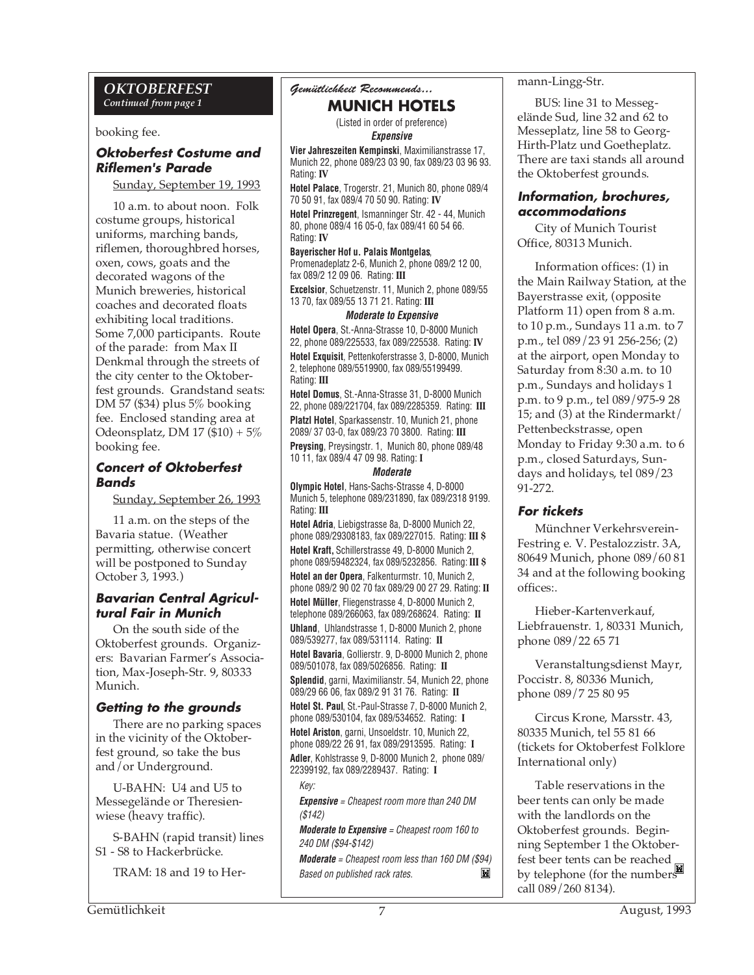#### *OKTOBERFEST Continued from page 1*

booking fee.

# **Oktoberfest Costume and Riflemen's Parade**

Sunday, September 19, 1993

10 a.m. to about noon. Folk costume groups, historical uniforms, marching bands, riflemen, thoroughbred horses, oxen, cows, goats and the decorated wagons of the Munich breweries, historical coaches and decorated floats exhibiting local traditions. Some 7,000 participants. Route of the parade: from Max II Denkmal through the streets of the city center to the Oktoberfest grounds. Grandstand seats: DM 57 (\$34) plus 5% booking fee. Enclosed standing area at Odeonsplatz, DM 17 (\$10) + 5% booking fee.

#### **Concert of Oktoberfest Bands**

Sunday, September 26, 1993

11 a.m. on the steps of the Bavaria statue. (Weather permitting, otherwise concert will be postponed to Sunday October 3, 1993.)

# **Bavarian Central Agricultural Fair in Munich**

On the south side of the Oktoberfest grounds. Organizers: Bavarian Farmer's Association, Max-Joseph-Str. 9, 80333 Munich.

# **Getting to the grounds**

There are no parking spaces in the vicinity of the Oktoberfest ground, so take the bus and/or Underground.

U-BAHN: U4 and U5 to Messegelände or Theresienwiese (heavy traffic).

S-BAHN (rapid transit) lines S1 - S8 to Hackerbrücke.

TRAM: 18 and 19 to Her-

# *Gemütlichkeit Recommends...*

# **MUNICH HOTELS**

(Listed in order of preference) **Expensive**

**Vier Jahreszeiten Kempinski**, Maximilianstrasse 17, Munich 22, phone 089/23 03 90, fax 089/23 03 96 93. Rating: **IV**

**Hotel Palace**, Trogerstr. 21, Munich 80, phone 089/4 70 50 91, fax 089/4 70 50 90. Rating: **IV**

**Hotel Prinzregent**, Ismanninger Str. 42 - 44, Munich 80, phone 089/4 16 05-0, fax 089/41 60 54 66. Rating: **IV**

**Bayerischer Hof u. Palais Montgelas**, Promenadeplatz 2-6, Munich 2, phone 089/2 12 00,

fax 089/2 12 09 06. Rating: **III**

**Excelsior**, Schuetzenstr. 11, Munich 2, phone 089/55 13 70, fax 089/55 13 71 21. Rating: **III**

#### **Moderate to Expensive**

**Hotel Opera**, St.-Anna-Strasse 10, D-8000 Munich 22, phone 089/225533, fax 089/225538. Rating: **IV Hotel Exquisit**, Pettenkoferstrasse 3, D-8000, Munich 2, telephone 089/5519900, fax 089/55199499. Rating: **III**

**Hotel Domus**, St.-Anna-Strasse 31, D-8000 Munich 22, phone 089/221704, fax 089/2285359. Rating: **III Platzl Hotel**, Sparkassenstr. 10, Munich 21, phone 2089/ 37 03-0, fax 089/23 70 3800. Rating: **III Preysing**, Preysingstr. 1, Munich 80, phone 089/48 10 11, fax 089/4 47 09 98. Rating: **I**

#### **Moderate**

**Olympic Hotel**, Hans-Sachs-Strasse 4, D-8000 Munich 5, telephone 089/231890, fax 089/2318 9199. Rating: **III**

**Hotel Adria**, Liebigstrasse 8a, D-8000 Munich 22, phone 089/29308183, fax 089/227015. Rating: **III \$ Hotel Kraft,** Schillerstrasse 49, D-8000 Munich 2, phone 089/59482324, fax 089/5232856. Rating: **III \$ Hotel an der Opera**, Falkenturmstr. 10, Munich 2, phone 089/2 90 02 70 fax 089/29 00 27 29. Rating: **II**

**Hotel Müller**, Fliegenstrasse 4, D-8000 Munich 2, telephone 089/266063, fax 089/268624. Rating: **II Uhland**, Uhlandstrasse 1, D-8000 Munich 2, phone

089/539277, fax 089/531114. Rating: **II Hotel Bavaria**, Gollierstr. 9, D-8000 Munich 2, phone

089/501078, fax 089/5026856. Rating: **II Splendid**, garni, Maximilianstr. 54, Munich 22, phone

089/29 66 06, fax 089/2 91 31 76. Rating: **II Hotel St. Paul**, St.-Paul-Strasse 7, D-8000 Munich 2,

phone 089/530104, fax 089/534652. Rating: **I Hotel Ariston**, garni, Unsoeldstr. 10, Munich 22,

phone 089/22 26 91, fax 089/2913595. Rating: **I Adler**, Kohlstrasse 9, D-8000 Munich 2, phone 089/ 22399192, fax 089/2289437. Rating: **I**

Key:

**Expensive** = Cheapest room more than 240 DM (\$142)

**Moderate to Expensive** = Cheapest room 160 to 240 DM (\$94-\$142)

**Moderate** = Cheapest room less than 160 DM (\$94) M Based on published rack rates.

mann-Lingg-Str.

BUS: line 31 to Messegelände Sud, line 32 and 62 to Messeplatz, line 58 to Georg-Hirth-Platz und Goetheplatz. There are taxi stands all around the Oktoberfest grounds.

# **Information, brochures, accommodations**

City of Munich Tourist Office, 80313 Munich.

Information offices: (1) in the Main Railway Station, at the Bayerstrasse exit, (opposite Platform 11) open from 8 a.m. to 10 p.m., Sundays 11 a.m. to 7 p.m., tel 089/23 91 256-256; (2) at the airport, open Monday to Saturday from 8:30 a.m. to 10 p.m., Sundays and holidays 1 p.m. to 9 p.m., tel 089/975-9 28 15; and (3) at the Rindermarkt/ Pettenbeckstrasse, open Monday to Friday 9:30 a.m. to 6 p.m., closed Saturdays, Sundays and holidays, tel 089/23 91-272.

## **For tickets**

Münchner Verkehrsverein-Festring e. V. Pestalozzistr. 3A, 80649 Munich, phone 089/60 81 34 and at the following booking offices:.

Hieber-Kartenverkauf, Liebfrauenstr. 1, 80331 Munich, phone 089/22 65 71

Veranstaltungsdienst Mayr, Poccistr. 8, 80336 Munich, phone 089/7 25 80 95

Circus Krone, Marsstr. 43, 80335 Munich, tel 55 81 66 (tickets for Oktoberfest Folklore International only)

Table reservations in the beer tents can only be made with the landlords on the Oktoberfest grounds. Beginning September 1 the Oktoberfest beer tents can be reached by telephone (for the numbers call 089/260 8134).